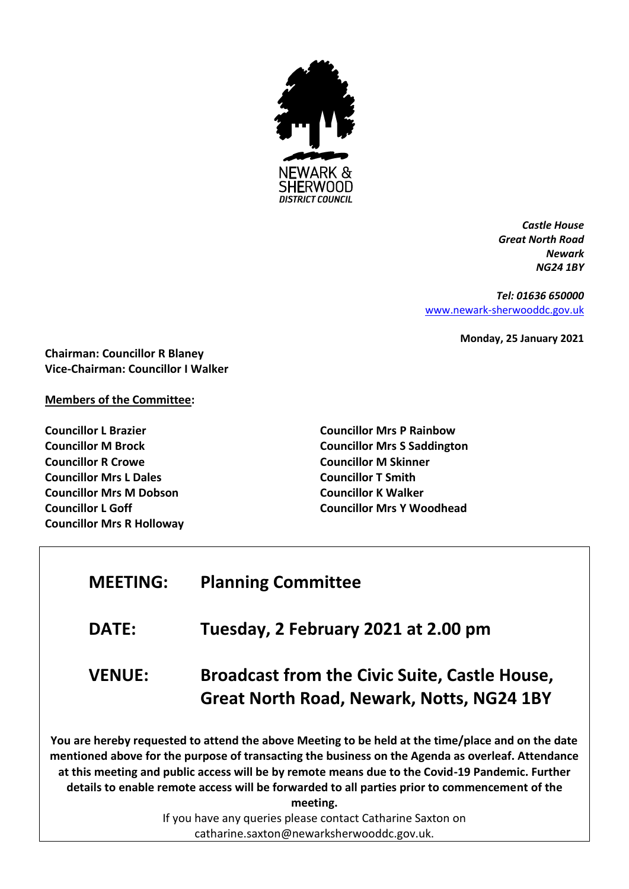

*Castle House Great North Road Newark NG24 1BY*

*Tel: 01636 650000* [www.newark-sherwooddc.gov.uk](http://www.newark-sherwooddc.gov.uk/)

**Monday, 25 January 2021**

**Chairman: Councillor R Blaney Vice-Chairman: Councillor I Walker**

# **Members of the Committee:**

**Councillor L Brazier Councillor M Brock Councillor R Crowe Councillor Mrs L Dales Councillor Mrs M Dobson Councillor L Goff Councillor Mrs R Holloway** **Councillor Mrs P Rainbow Councillor Mrs S Saddington Councillor M Skinner Councillor T Smith Councillor K Walker Councillor Mrs Y Woodhead**

# **DATE: Tuesday, 2 February 2021 at 2.00 pm VENUE: Broadcast from the Civic Suite, Castle House, Great North Road, Newark, Notts, NG24 1BY**

**MEETING: Planning Committee**

**You are hereby requested to attend the above Meeting to be held at the time/place and on the date mentioned above for the purpose of transacting the business on the Agenda as overleaf. Attendance at this meeting and public access will be by remote means due to the Covid-19 Pandemic. Further details to enable remote access will be forwarded to all parties prior to commencement of the meeting.**

If you have any queries please contact Catharine Saxton on catharine.saxton@newarksherwooddc.gov.uk.